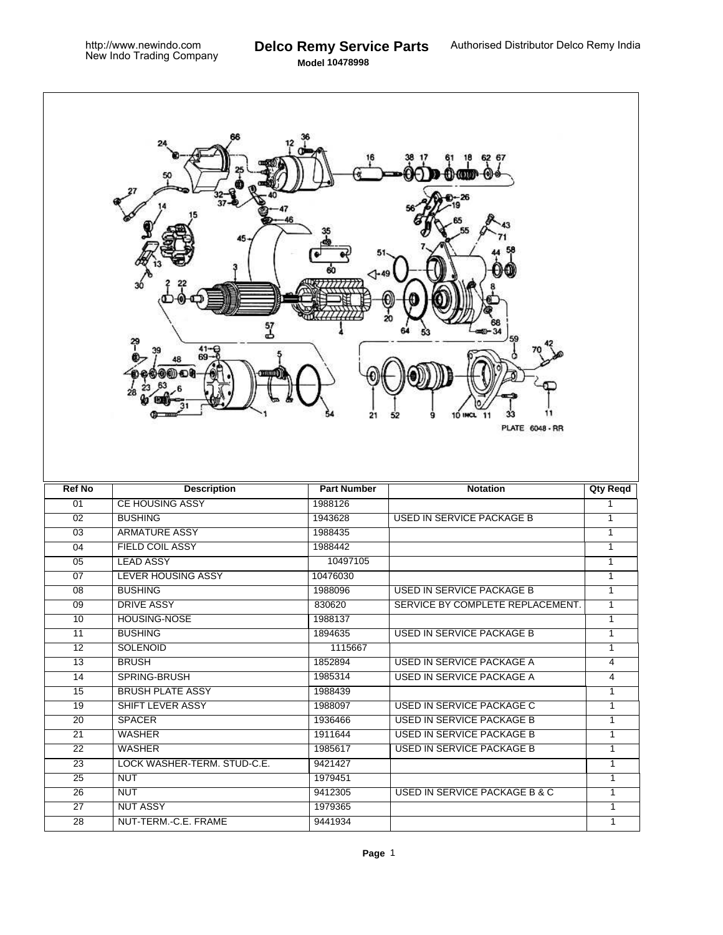**Model 10478998**

| 62 67<br>$41 -$<br>69-<br>21<br>a<br><b>10 INCL</b><br>52<br>-11<br><b>PLATE 6048 - RR</b> |                             |                    |                                  |                 |  |
|--------------------------------------------------------------------------------------------|-----------------------------|--------------------|----------------------------------|-----------------|--|
| <b>Ref No</b>                                                                              | <b>Description</b>          | <b>Part Number</b> | <b>Notation</b>                  | <b>Qty Reqd</b> |  |
| 01                                                                                         | <b>CE HOUSING ASSY</b>      | 1988126            |                                  | $\mathbf{1}$    |  |
| 02                                                                                         | <b>BUSHING</b>              | 1943628            | <b>USED IN SERVICE PACKAGE B</b> | $\mathbf{1}$    |  |
| 03                                                                                         | <b>ARMATURE ASSY</b>        | 1988435            |                                  | 1               |  |
| 04                                                                                         | <b>FIELD COIL ASSY</b>      | 1988442            |                                  | 1               |  |
| 05                                                                                         | <b>LEAD ASSY</b>            | 10497105           |                                  | $\mathbf{1}$    |  |
| $\overline{07}$                                                                            | <b>LEVER HOUSING ASSY</b>   | 10476030           |                                  | $\mathbf{1}$    |  |
| $\overline{08}$                                                                            | <b>BUSHING</b>              | 1988096            | <b>USED IN SERVICE PACKAGE B</b> | $\mathbf{1}$    |  |
| $\overline{09}$                                                                            | <b>DRIVE ASSY</b>           | 830620             | SERVICE BY COMPLETE REPLACEMENT. | $\mathbf{1}$    |  |
| 10                                                                                         | <b>HOUSING-NOSE</b>         | 1988137            |                                  | $\mathbf{1}$    |  |
| 11                                                                                         | <b>BUSHING</b>              | 1894635            | USED IN SERVICE PACKAGE B        | $\mathbf{1}$    |  |
| 12                                                                                         | <b>SOLENOID</b>             | 1115667            |                                  | 1               |  |
| 13                                                                                         | <b>BRUSH</b>                | 1852894            | USED IN SERVICE PACKAGE A        | $\overline{4}$  |  |
| $\overline{14}$                                                                            | SPRING-BRUSH                | 1985314            | <b>USED IN SERVICE PACKAGE A</b> | $\overline{4}$  |  |
| 15                                                                                         | <b>BRUSH PLATE ASSY</b>     | 1988439            |                                  | $\mathbf{1}$    |  |
| 19                                                                                         | <b>SHIFT LEVER ASSY</b>     | 1988097            | <b>USED IN SERVICE PACKAGE C</b> | $\mathbf{1}$    |  |
| 20                                                                                         | <b>SPACER</b>               | 1936466            |                                  |                 |  |
| 21                                                                                         |                             |                    | USED IN SERVICE PACKAGE B        | $\mathbf{1}$    |  |
| $\overline{22}$                                                                            | <b>WASHER</b>               | 1911644            | <b>USED IN SERVICE PACKAGE B</b> | $\mathbf{1}$    |  |
| $\overline{23}$                                                                            | WASHER                      | 1985617            | <b>USED IN SERVICE PACKAGE B</b> | $\mathbf{1}$    |  |
|                                                                                            | LOCK WASHER-TERM. STUD-C.E. | 9421427            |                                  | $\overline{1}$  |  |
| 25                                                                                         | <b>NUT</b>                  | 1979451            |                                  | $\overline{1}$  |  |
| 26                                                                                         | <b>NUT</b>                  | 9412305            | USED IN SERVICE PACKAGE B & C    | $\overline{1}$  |  |
| $\overline{27}$                                                                            | <b>NUT ASSY</b>             | 1979365            |                                  | $\overline{1}$  |  |
| $\overline{28}$                                                                            | NUT-TERM.-C.E. FRAME        | 9441934            |                                  | $\mathbf{1}$    |  |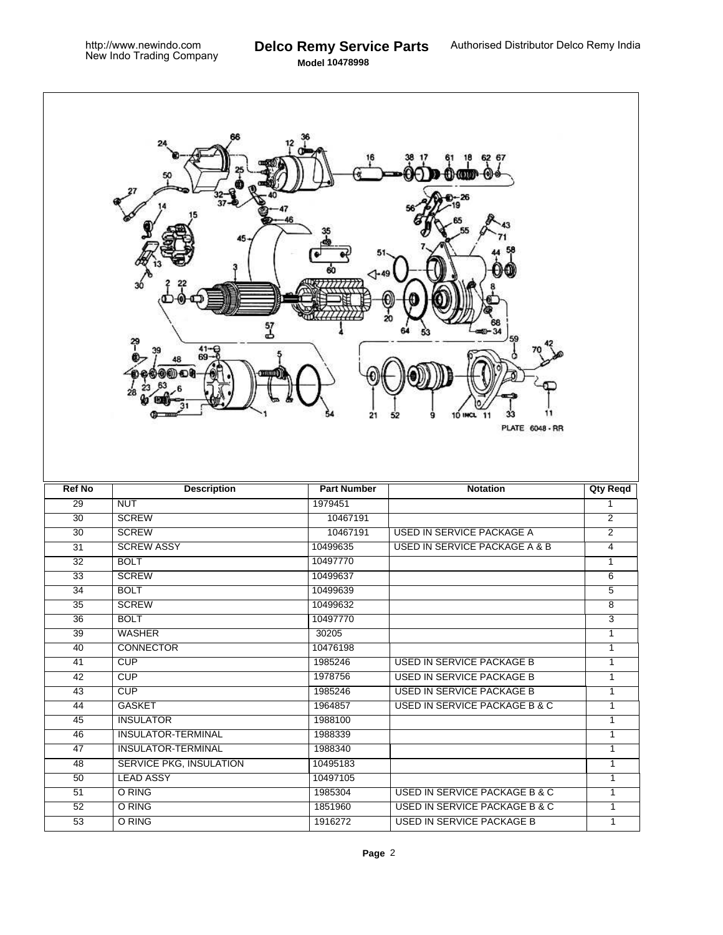**Model 10478998**

| 6267<br>57<br>بار<br>41-<br>10 INCL 11<br>21<br>52<br>9<br><b>PLATE 6048 - RR</b> |                                   |                    |                                                                              |                                |  |  |
|-----------------------------------------------------------------------------------|-----------------------------------|--------------------|------------------------------------------------------------------------------|--------------------------------|--|--|
| <b>Ref No</b>                                                                     | <b>Description</b>                | <b>Part Number</b> | <b>Notation</b>                                                              | <b>Qty Reqd</b>                |  |  |
| 29                                                                                | <b>NUT</b>                        | 1979451            |                                                                              | $\mathbf{1}$                   |  |  |
| $\overline{30}$                                                                   | <b>SCREW</b>                      | 10467191           |                                                                              | $\overline{2}$                 |  |  |
| $\overline{30}$                                                                   | <b>SCREW</b>                      | 10467191           | USED IN SERVICE PACKAGE A                                                    | $\overline{2}$                 |  |  |
| $\overline{31}$                                                                   | <b>SCREW ASSY</b>                 | 10499635           | <b>USED IN SERVICE PACKAGE A &amp; B</b>                                     | $\overline{4}$                 |  |  |
| $\overline{32}$                                                                   | <b>BOLT</b>                       | 10497770           |                                                                              | $\mathbf{1}$                   |  |  |
| $\overline{33}$                                                                   | <b>SCREW</b>                      | 10499637           |                                                                              | 6                              |  |  |
| $\overline{34}$                                                                   | <b>BOLT</b>                       | 10499639           |                                                                              | $\overline{5}$                 |  |  |
| $\overline{35}$                                                                   | <b>SCREW</b>                      | 10499632           |                                                                              | 8                              |  |  |
| $\overline{36}$                                                                   | <b>BOLT</b>                       | 10497770           |                                                                              | 3                              |  |  |
| 39                                                                                | <b>WASHER</b><br><b>CONNECTOR</b> | 30205              |                                                                              |                                |  |  |
| 40                                                                                |                                   |                    |                                                                              | $\mathbf{1}$                   |  |  |
| 41                                                                                |                                   | 10476198           |                                                                              | $\mathbf{1}$                   |  |  |
| 42                                                                                | <b>CUP</b>                        | 1985246            | <b>USED IN SERVICE PACKAGE B</b>                                             | $\mathbf{1}$                   |  |  |
| 43                                                                                | CUP                               | 1978756            | <b>USED IN SERVICE PACKAGE B</b>                                             | $\mathbf{1}$                   |  |  |
|                                                                                   | CUP                               | 1985246            | <b>USED IN SERVICE PACKAGE B</b>                                             | $\overline{1}$                 |  |  |
| 44                                                                                | <b>GASKET</b>                     | 1964857            | <b>USED IN SERVICE PACKAGE B &amp; C</b>                                     | $\mathbf{1}$                   |  |  |
| $\overline{45}$                                                                   | <b>INSULATOR</b>                  | 1988100            |                                                                              | 1                              |  |  |
| 46                                                                                | <b>INSULATOR-TERMINAL</b>         | 1988339            |                                                                              | 1                              |  |  |
| 47                                                                                | <b>INSULATOR-TERMINAL</b>         | 1988340            |                                                                              | $\overline{1}$                 |  |  |
| 48                                                                                | <b>SERVICE PKG, INSULATION</b>    | 10495183           |                                                                              | $\overline{1}$                 |  |  |
| 50                                                                                | <b>LEAD ASSY</b>                  | 10497105           |                                                                              | $\overline{1}$                 |  |  |
| 51                                                                                | O RING                            | 1985304            | USED IN SERVICE PACKAGE B & C                                                | $\overline{1}$                 |  |  |
| 52<br>53                                                                          | O RING<br>O RING                  | 1851960<br>1916272 | <b>USED IN SERVICE PACKAGE B &amp; C</b><br><b>USED IN SERVICE PACKAGE B</b> | $\mathbf{1}$<br>$\overline{1}$ |  |  |